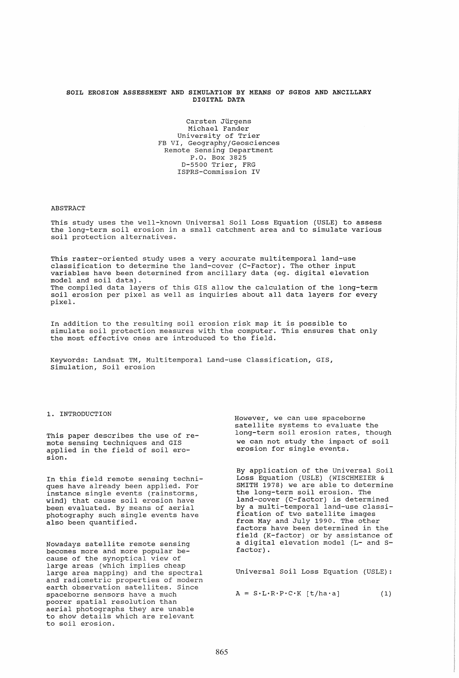## SOIL EROSION ASSESSMENT AND SIMULATION BY MEANS OF SGEOS AND ANCILLARY DIGITAL DATA

Carsten Jürgens Michael Fander University of Trier FB VI, Geography/Geosciences Remote Sensing Department P.O. Box 3825 0-5500 Trier, FRG ISPRS-Commission IV

## ABSTRACT

This study uses the well-known Universal Soil Loss Equation (USLE) to assess the long-term soil erosion in a small catchment area and to simulate various soil protection alternatives.

This raster-oriented study uses a very accurate multitemporal land-use classification to determine the land-cover (C-Factor). The other input variables have been determined from ancillary data (eg. digital elevation model and soil data). The compiled data layers of this GIS allow the calculation of the long-term soil erosion per pixel as well as inquiries about all data layers for every pixel.

In addition to the resulting soil erosion risk map it is possible to In dudicion to the resulting soil ereston fish map it is possible to the simulate soil protection measures with the computer. This ensures that only the most effective ones are introduced to the field.

Keywords: Landsat TM, Multitemporal Land-use Classification, GIS, Simulation, Soil erosion

## 1. INTRODUCTION

This paper describes the use of remote sensing techniques and GIS applied in the field of soil erosion.

In this field remote sensing techniques have already been applied. For instance single events (rainstorms, wind) that cause soil erosion have been evaluated. By means of aerial photography such single events have also been quantified.

Nowadays satellite remote sensing becomes more and more popular because of the synoptical view of large areas (which implies cheap large area mapping) and the spectral and radiometric properties of modern earth observation satellites. Since spaceborne sensors have a much poorer spatial resolution than aerial photographs they are unable to show details which are relevant to soil erosion.

However, we can use spaceborne satellite systems to evaluate the long-term soil erosion rates, though we can not study the impact of soil erosion for single events.

By application of the Universal Soil Loss Equation (USLE) (WISCHMEIER & SMITH 1978) we are able to determine the long-term soil erosion. The land-cover (C-factor) is determined by a multi-temporal land-use classification of two satellite images from May and July 1990. The other factors have been determined in the field (K-factor) or by assistance of a digital elevation model (L- and Sfactor) .

Universal Soil Loss Equation (USLE):

 $A = S \cdot L \cdot R \cdot P \cdot C \cdot K$  [t/ha·a] (1)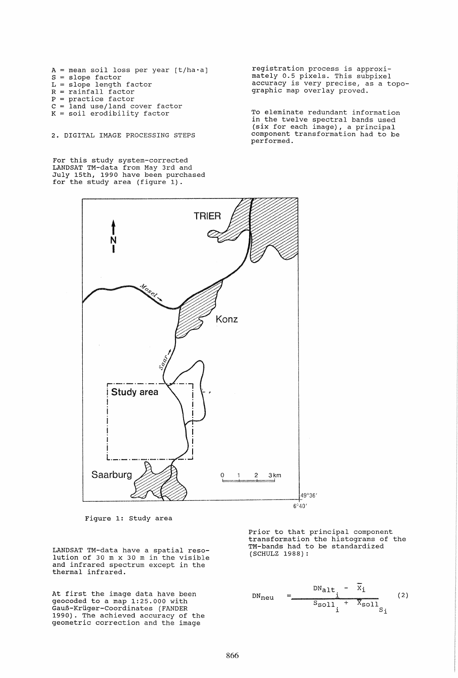$A$  = mean soil loss per year [t/ha·a]  $S = slope factor$ L = slope length factor  $R = rainfall factor$ P = practice factor c = land use/land cover factor  $K = solid$  erodibility factor

2. DIGITAL IMAGE PROCESSING STEPS

For this study system-corrected LANDSAT TM-data from May 3rd and July 15th, 1990 have been purchased for the study area (figure 1).

registration process is approximately 0.5 pixels. This subpixel accuracy is very precise, as a topographic map overlay proved.

To eleminate redundant information in the twelve spectral bands used (six for each image), a principal component transformation had to be performed.



Figure 1: Study area

LANDSAT TM-data have a spatial resolution of 30 m x 30 m in the visible and infrared spectrum except in the thermal infrared.

At first the image data have been geocoded to a map 1:25.000 with GauB-Krliger-coordinates (FANDER 1990). The achieved accuracy of the geometric correction and the image

Prior to that principal component transformation the histograms of the TM-bands had to be standardized (SCHULZ 1988):

$$
DN_{\text{neu}} = \frac{DN_{\text{alt}} - x_i}{s_{\text{sol1}} + x_{\text{sol1}}}
$$
 (2)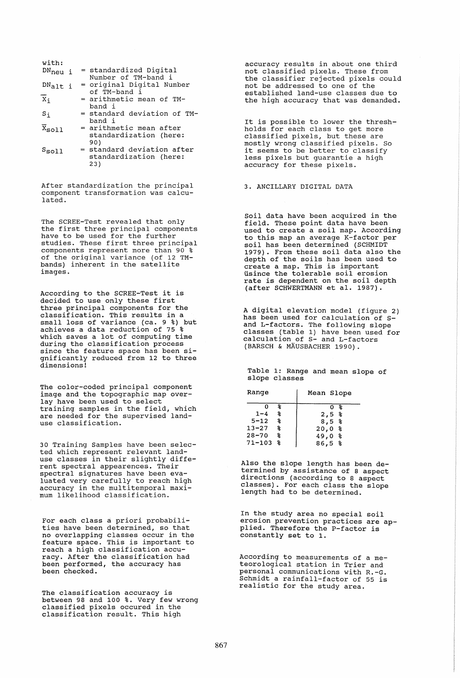| with:                                 |  |                                                             |
|---------------------------------------|--|-------------------------------------------------------------|
| $DN_{\text{neu}}$ i                   |  | = standardized Digital<br>Number of TM-band i               |
| $DN_{\text{alt}}$ i                   |  | = original Digital Number<br>of TM-band i                   |
| X;                                    |  | = arithmetic mean of TM-<br>band i                          |
| $S_{1}$                               |  | = standard deviation of TM-<br>band i                       |
| $\overline{\mathbf{x}}_{\text{sol1}}$ |  | = arithmetic mean after<br>standardization (here:<br>90)    |
| $s_{\tt{sol1}}$                       |  | = standard deviation after<br>standardization (here:<br>23) |

After standardization the principal component transformation was calculated.

The SCREE-Test revealed that only The SCREE-TEST TEVERTED THAT ONLY have to be used for the further studies. These first three principal components represent more than 90 % of the original variance (of 12 TMbands) inherent in the satellite images.

According to the SCREE-Test it is decided to use only these first three principal components for the classification. This results in a small loss of variance (ca. 9 %) but achieves a data reduction of 75 % which saves a lot of computing time during the classification process during the classification process<br>since the feature space has been significantly reduced from 12 to three dimensions!

The color-coded principal component image and the topographic map overlay have been used to select training samples in the field, which are needed for the supervised landuse classification.

30 Training Samples have been selected which represent relevant landuse classes in their slightly different spectral appearences. Their spectral signatures have been evaluated very carefully to reach high accuracy in the multitemporal maximum likelihood classification.

For each class a priori probabilities have been determined, so that no overlapping classes occur in the feature space. This is important to reach a high classification accuracy. After the classification had been performed, the accuracy has been checked.

The classification accuracy is between 98 and 100 %. Very few wrong classified pixels occured in the classification result. This high

accuracy results in about one third not classified pixels. These from the classifier rejected pixels could not be addressed to one of the established land-use classes due to the high accuracy that was demanded.

It is possible to lower the threshholds for each class to get more classified pixels, but these are mostly wrong classified pixels. So mostly wrong classified pixeis. So<br>it seems to be better to classify less pixels but guarantie a high accuracy for these pixels.

3. ANCILLARY DIGITAL DATA

Soil data have been acquired in the field. These point data have been used to create a soil map. According to this map an average K-factor per soil has been determined (SCHMIDT 1979). From these soil data also the depth of the soils has been used to create a map. This is important tisince the tolerable soil erosion usince the coferable soil crosion<br>rate is dependent on the soil depth rate is dependent on the soil department of the control of

A digital elevation model (figure 2) has been used for calculation of sand L-factors. The following slope classes (table 1) have been used for calculation of S- and L-factors (BARSCH & MÄUSBACHER 1990).

Table 1: Range and mean slope of slope classes

| Range        |     | Mean Slope    |
|--------------|-----|---------------|
| Ω            | 응   | °<br>$\Omega$ |
| $1 - 4$      | 名   | $2,5$ %       |
| $5 - 12$     | ႜႜၟ | 8,5%          |
| $13 - 27$    | ಿಕೆ | 20,0 %        |
| $28 - 70$    | % * | $49,0$ $8$    |
| $71 - 103$ % |     | 86,5%         |

Also the slope length has been determined by assistance of 8 aspect directions (according to 8 aspect asses classes). For each class the slope length had to be determined.

In the study area no special soil erosion prevention practices are applied. Therefore the P-factor is constantly set to 1.

According to measurements of a meteorological station in Trier and personal communications with R.-G. Schmidt a rainfall-factor of 55 is realistic for the study area.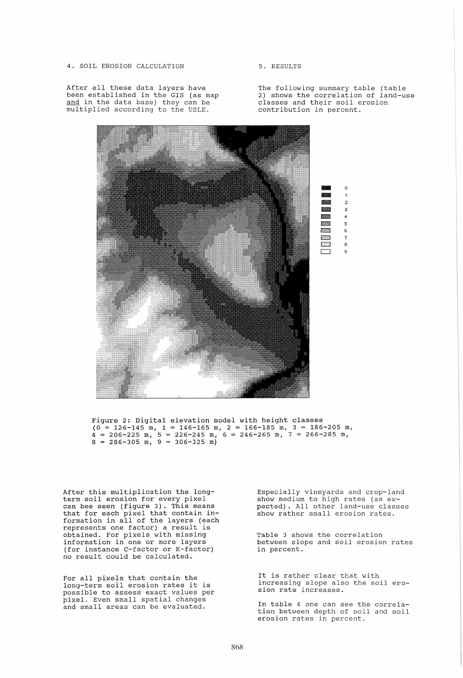4. SOIL EROSION CALCULATION

After all these data layers have been established in the GIS (as map and in the data base) they can be multiplied according to the USLE.

5. RESULTS

The following summary table (table 2) shows the correlation of land-use classes and their soil erosion contribution in percent.



Figure 2: Digital elevation model with height classes  $(0 = 126 - 145 \text{ m}, 1 = 146 - 165 \text{ m}, 2 = 166 - 185 \text{ m}, 3 = 186 - 205 \text{ m},$  $\frac{1}{4}$  = 206-225 m, 5 = 226-245 m, 6 = 246-265 m, 7 = 266-285 m,  $8 = 286 - 305$  m,  $9 = 306 - 325$  m)

After this multiplication the longterm soil erosion for every pixel can bee seen (figure 3). This means that for each pixel that contain information in all of the layers (each represents one factor) a result is obtained. For pixels with missing information in one or more layers (for instance C-factor or K-factor) no result could be calculated.

For all pixels that contain the long-term soil erosion rates it is possible to assess exact values per pixel. Even small spatial changes and small areas can be evaluated.

Especially vineyards and crop-land show medium to high rates (as expected). All other land-use classes show rather small erosion rates.

Table 3 shows the correlation between slope and soil erosion rates in percent.

It is rather clear that with increasing slope also the soil erosion rate increases.

In table 4 one can see the correlation between depth of soil and soil erosion rates in percent.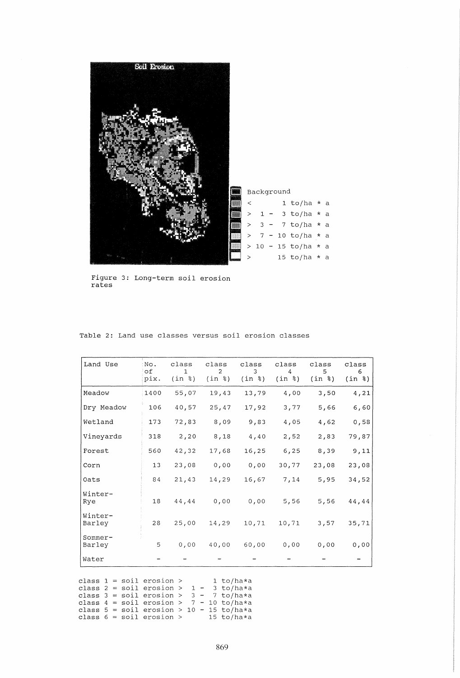

Figure 3: Long-term soil erosion rates

| Land Use          | No.<br>of.<br>pix. | class<br>1<br>(in %) | class<br>$\overline{2}$<br>(in %) | class<br>3<br>(in %) | class<br>4<br>(in %) | class<br>5.<br>(in %) | class<br>6.<br>(in %) |
|-------------------|--------------------|----------------------|-----------------------------------|----------------------|----------------------|-----------------------|-----------------------|
| Meadow            | 1400               | 55,07                | 19,43                             | 13,79                | 4,00                 | 3,50                  | 4,21                  |
| Dry Meadow        | 106                | 40,57                | 25,47                             | 17,92                | 3,77                 | 5,66                  | 6,60                  |
| Wetland           | 173                | 72,83                | 8,09                              | 9,83                 | 4,05                 | 4,62                  | 0,58                  |
| Vineyards         | 318                | 2,20                 | 8,18                              | 4,40                 | 2,52                 | 2,83                  | 79,87                 |
| Forest            | 560                | 42,32                | 17,68                             | 16,25                | 6, 25                | 8,39                  | 9,11                  |
| Corn              | 13                 | 23,08                | 0,00                              | 0,00                 | 30,77                | 23,08                 | 23,08                 |
| Oats              | 84                 | 21,43                | 14,29                             | 16,67                | 7,14                 | 5,95                  | 34,52                 |
| Winter-<br>Rye    | 18                 | 44,44                | 0,00                              | 0,00                 | 5,56                 | 5,56                  | 44,44                 |
| Winter-<br>Barley | 28                 | 25,00                | 14,29                             | 10,71                | 10,71                | 3,57                  | 35,71                 |
| Sommer-<br>Barley | 5                  | 0,00                 | 40,00                             | 60,00                | 0,00                 | 0,00                  | 0,00                  |
| Water             |                    |                      |                                   |                      |                      |                       |                       |

Table 2: Land use classes versus soil erosion classes

class 1 = soil erosion > 1 to/ha\*a class  $2 = \text{soil erosion} > 1 - 3 \text{ to/ha}$ \*a class  $2 - 5011$  erosion  $> 1 - 5$  co/ha $*$ a<br>class  $3 =$  soil erosion  $> 3 - 7$  to/ha $*$ a class  $4 = \text{soil}$  erosion >  $7 - 10 \text{ to/ha}$ \*a class  $\frac{4}{3}$  = 5011 erosion >  $\frac{1}{2}$  +  $\frac{1}{2}$  to  $\frac{1}{2}$  to  $\frac{1}{2}$  class 5 = soil erosion > 10 - 15 to/ha\*a class  $6 = \text{soil }\text{erosion} > 15 \text{ to/ha}$ \*a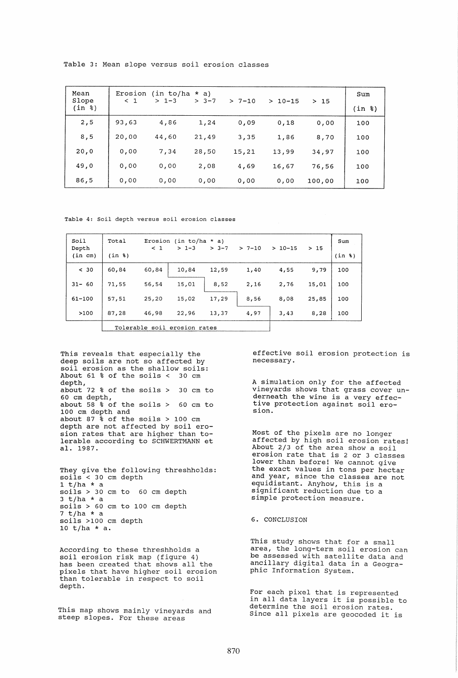| Mean<br>Slope | Erosion<br>< 1 | $(in to/ha * a)$<br>$> 1-3$ | $> 3 - 7$ | $> 7 - 10$ | $>10-15$ | >15    | Sum        |
|---------------|----------------|-----------------------------|-----------|------------|----------|--------|------------|
| (in %)        |                |                             |           |            |          |        | $(in$ $*)$ |
| 2,5           | 93,63          | 4,86                        | 1,24      | 0,09       | 0,18     | 0,00   | 100        |
| 8,5           | 20,00          | 44,60                       | 21,49     | 3,35       | 1,86     | 8,70   | 100        |
| 20,0          | 0,00           | 7,34                        | 28,50     | 15,21      | 13,99    | 34,97  | 100        |
| 49,0          | 0,00           | 0,00                        | 2,08      | 4,69       | 16,67    | 76,56  | 100        |
| 86,5          | 0.00           | 0,00                        | 0,00      | 0,00       | 0,00     | 100,00 | 100        |

Table 3: Mean slope versus soil erosion classes

Table 4: Soil depth versus soil erosion classes

| Soil<br>Depth | Total  | $\leq$ 1                     | Erosion (in to/ha $*$ a)<br>$> 1 - 3$ | $> 3 - 7$ | $> 7 - 10$ | $>10-15$ | >15   | Sum    |
|---------------|--------|------------------------------|---------------------------------------|-----------|------------|----------|-------|--------|
| (in cm)       | (in %) |                              |                                       |           |            |          |       | (in %) |
| < 30          | 60,84  | 60,84                        | 10,84                                 | 12,59     | 1,40       | 4,55     | 9,79  | 100    |
| $31 - 60$     | 71,55  | 56,54                        | 15,01                                 | 8,52      | 2,16       | 2,76     | 15,01 | 100    |
| $61 - 100$    | 57,51  | 25,20                        | 15,02                                 | 17,29     | 8,56       | 8,08     | 25,85 | 100    |
| >100          | 87,28  | 46,98                        | 22,96                                 | 13,37     | 4,97       | 3,43     | 8,28  | 100    |
|               |        | Tolerable soil erosion rates |                                       |           |            |          |       |        |

This reveals that especially the deep soils are not so affected by soil erosion as the shallow soils: About 61 % of the soils < 30 cm depth, about 72 % of the soils > 30 cm to 60 cm depth, about  $58 \text{ s}$  of the soils > 60 cm to 100 cm depth and about 87 % of the soils  $> 100$  cm depth are not affected by soil erosion rates that are higher than tolerable according to SCHWERTMANN et al. 1987.

They give the following threshholds: soils < 30 cm depth<br>1 t/ha \* a soils > 30 cm to 60 cm depth<br>3 t/ha \* a soils > 60 cm to 100 cm depth<br>7 t/ha \* a soils >100 cm depth 10 t/ha \* a.

According to these threshholds a soil erosion risk map (figure 4) soil erosion risk map (rigure 4)<br>has been created that shows all the pixels that have higher soil erosion than tolerable in respect to soil depth.

This map shows mainly vineyards and steep slopes. For these areas

effective soil erosion protection is necessary.

A simulation only for the affected vineyards shows that grass cover underneath the wine is a very effective protection against soil ero- sion.

Most of the pixels are no longer affected by high soil erosion rates! About 2/3 of the area show a soil erosion rate that is 2 or 3 classes lower than before! We cannot give the exact values in tons per hectar and year, since the classes are not equidistant. Anyhow, this is a significant reduction due to a simple protection measure.

## 6. CONCLUSION

This study shows that for a small area, the long-term soil erosion can be assessed with satellite data and ancillary digital data in a Geographic Information System.

For each pixel that is represented in all data layers it is possible to determine the soil erosion rates. Since all pixels are geocoded it is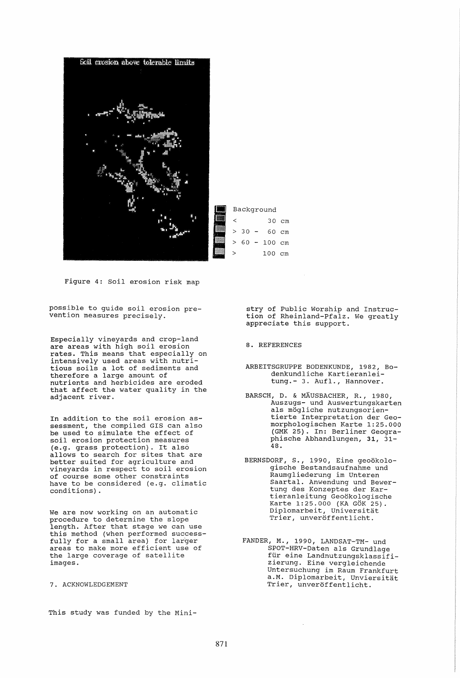

Figure 4: Soil erosion risk map

possible to guide soil erosion prevention measures precisely.

Especially vineyards and crop-land are areas with high soil erosion rates. This means that especially on intensively used areas with nutritious soils a lot of sediments and therefore a large amount of nutrients and herbicides are eroded that affect the water quality in the adjacent river.

In addition to the soil erosion assessment, the compiled GIS can also be used to simulate the effect of soil erosion protection measures (e.g. grass protection). It also allows to search for sites that are better suited for agriculture and vineyards in respect to soil erosion of course some other constraints have to be considered (e.g. climatic conditions) .

We are now working on an automatic procedure to determine the slope length. After that stage we can use this method (when performed successfully for a small area) for larger areas to make more efficient use of the large coverage of satellite images.

7. ACKNOWLEDGEMENT

This study was funded by the Mini-

stry of Public Worship and Instruction of Rheinland-Pfalz. We greatly appreciate this support.

8. REFERENCES

ARBEITSGRUPPE BODENKUNDE, 1982, Bodenkundliche Kartieranleitung.- 3. Aufl., Hannover.

- BARSCH, D. & MÄUSBACHER, R., 1980, .<br>Auszugs- und Auswertungskarten<br>als mögliche nutzungsorientierte Interpretation der Geomorphologischen Karte 1:25.000 (GMK 25). In: Berliner Geographische Abhandlungen, 31, 31- 48.
- BERNSDORF, S., 1990, Eine geoökologische Bestandsaufnahme und Raumgliederung im Unteren Saartal. Anwendung und Bewertung des Konzeptes der Kartieranleitung Geoökologische Karte 1:25.000 (KA GÖK 25). Diplomarbeit, Universitat Trier, unveroffentlicht.
- FANDER, M., 1990, LANDSAT-TM- und SPOT-HRV-Daten als Grundlage für eine Landnutzungsklassifizierung. Eine vergleichende Untersuchung im Raum Frankfurt a.M. Diplomarbeit, Unviersitat Trier, unveröffentlicht.